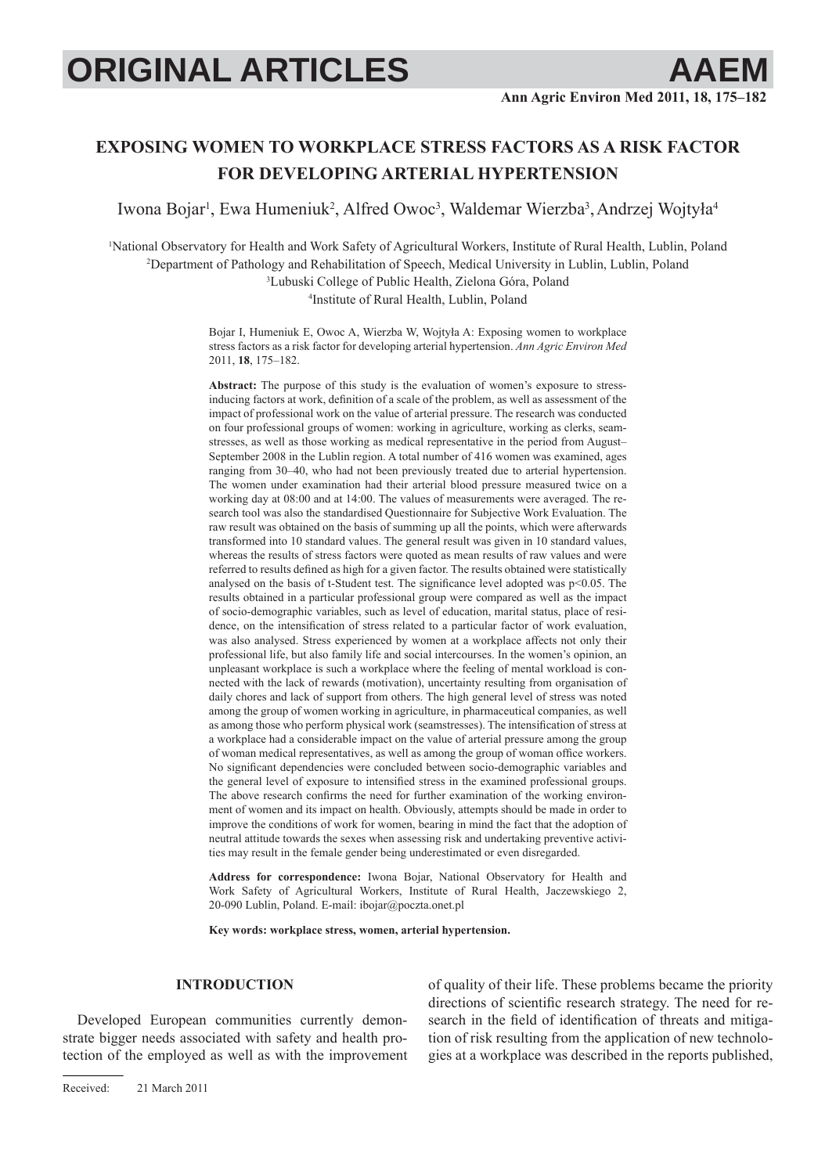# **EXPOSING WOMEN TO WORKPLACE STRESS FACTORS AS A RISK FACTOR FOR DEVELOPING ARTERIAL HYPERTENSION**

Iwona Bojar<sup>1</sup>, Ewa Humeniuk<sup>2</sup>, Alfred Owoc<sup>3</sup>, Waldemar Wierzba<sup>3</sup>, Andrzej Wojtyła<sup>4</sup>

 National Observatory for Health and Work Safety of Agricultural Workers, Institute of Rural Health, Lublin, Poland Department of Pathology and Rehabilitation of Speech, Medical University in Lublin, Lublin, Poland Lubuski College of Public Health, Zielona Góra, Poland Institute of Rural Health, Lublin, Poland

> Bojar I, Humeniuk E, Owoc A, Wierzba W, Wojtyła A: Exposing women to workplace stress factors as a risk factor for developing arterial hypertension. *Ann Agric Environ Med* 2011, **18**, 175–182.

> **Abstract:** The purpose of this study is the evaluation of women's exposure to stressinducing factors at work, definition of a scale of the problem, as well as assessment of the impact of professional work on the value of arterial pressure. The research was conducted on four professional groups of women: working in agriculture, working as clerks, seamstresses, as well as those working as medical representative in the period from August– September 2008 in the Lublin region. A total number of 416 women was examined, ages ranging from 30–40, who had not been previously treated due to arterial hypertension. The women under examination had their arterial blood pressure measured twice on a working day at 08:00 and at 14:00. The values of measurements were averaged. The research tool was also the standardised Questionnaire for Subjective Work Evaluation. The raw result was obtained on the basis of summing up all the points, which were afterwards transformed into 10 standard values. The general result was given in 10 standard values, whereas the results of stress factors were quoted as mean results of raw values and were referred to results defined as high for a given factor. The results obtained were statistically analysed on the basis of t-Student test. The significance level adopted was  $p<0.05$ . The results obtained in a particular professional group were compared as well as the impact of socio-demographic variables, such as level of education, marital status, place of residence, on the intensification of stress related to a particular factor of work evaluation, was also analysed. Stress experienced by women at a workplace affects not only their professional life, but also family life and social intercourses. In the women's opinion, an unpleasant workplace is such a workplace where the feeling of mental workload is connected with the lack of rewards (motivation), uncertainty resulting from organisation of daily chores and lack of support from others. The high general level of stress was noted among the group of women working in agriculture, in pharmaceutical companies, as well as among those who perform physical work (seamstresses). The intensification of stress at a workplace had a considerable impact on the value of arterial pressure among the group of woman medical representatives, as well as among the group of woman office workers. No significant dependencies were concluded between socio-demographic variables and the general level of exposure to intensified stress in the examined professional groups. The above research confirms the need for further examination of the working environment of women and its impact on health. Obviously, attempts should be made in order to improve the conditions of work for women, bearing in mind the fact that the adoption of neutral attitude towards the sexes when assessing risk and undertaking preventive activities may result in the female gender being underestimated or even disregarded.

> **Address for correspondence:** Iwona Bojar, National Observatory for Health and Work Safety of Agricultural Workers, Institute of Rural Health, Jaczewskiego 2, 20-090 Lublin, Poland. E-mail: ibojar@poczta.onet.pl

**Key words: workplace stress, women, arterial hypertension.**

## **INTRODUCTION**

Developed European communities currently demonstrate bigger needs associated with safety and health protection of the employed as well as with the improvement of quality of their life. These problems became the priority directions of scientific research strategy. The need for research in the field of identification of threats and mitigation of risk resulting from the application of new technologies at a workplace was described in the reports published,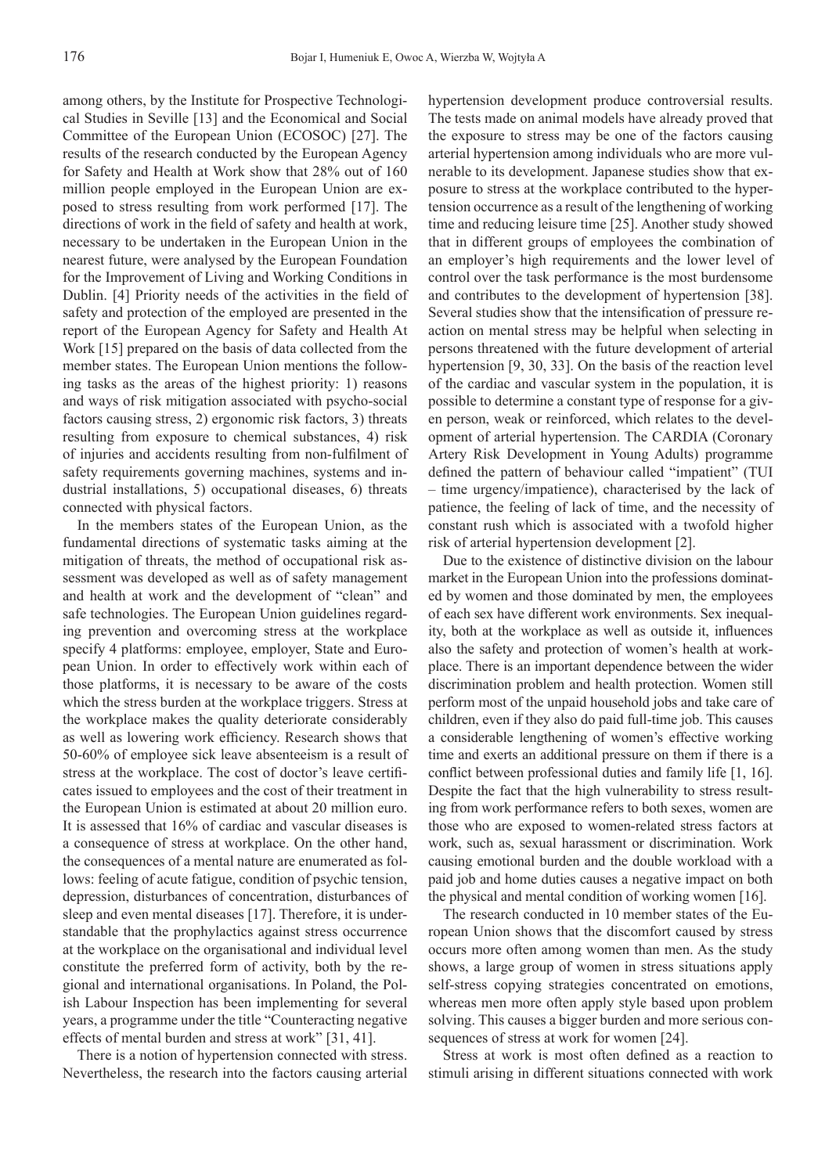among others, by the Institute for Prospective Technological Studies in Seville [13] and the Economical and Social Committee of the European Union (ECOSOC) [27]. The results of the research conducted by the European Agency for Safety and Health at Work show that 28% out of 160 million people employed in the European Union are exposed to stress resulting from work performed [17]. The directions of work in the field of safety and health at work, necessary to be undertaken in the European Union in the nearest future, were analysed by the European Foundation for the Improvement of Living and Working Conditions in Dublin. [4] Priority needs of the activities in the field of safety and protection of the employed are presented in the report of the European Agency for Safety and Health At Work [15] prepared on the basis of data collected from the member states. The European Union mentions the following tasks as the areas of the highest priority: 1) reasons and ways of risk mitigation associated with psycho-social factors causing stress, 2) ergonomic risk factors, 3) threats resulting from exposure to chemical substances, 4) risk of injuries and accidents resulting from non-fulfilment of safety requirements governing machines, systems and industrial installations, 5) occupational diseases, 6) threats connected with physical factors.

In the members states of the European Union, as the fundamental directions of systematic tasks aiming at the mitigation of threats, the method of occupational risk assessment was developed as well as of safety management and health at work and the development of "clean" and safe technologies. The European Union guidelines regarding prevention and overcoming stress at the workplace specify 4 platforms: employee, employer, State and European Union. In order to effectively work within each of those platforms, it is necessary to be aware of the costs which the stress burden at the workplace triggers. Stress at the workplace makes the quality deteriorate considerably as well as lowering work efficiency. Research shows that 50-60% of employee sick leave absenteeism is a result of stress at the workplace. The cost of doctor's leave certificates issued to employees and the cost of their treatment in the European Union is estimated at about 20 million euro. It is assessed that 16% of cardiac and vascular diseases is a consequence of stress at workplace. On the other hand, the consequences of a mental nature are enumerated as follows: feeling of acute fatigue, condition of psychic tension, depression, disturbances of concentration, disturbances of sleep and even mental diseases [17]. Therefore, it is understandable that the prophylactics against stress occurrence at the workplace on the organisational and individual level constitute the preferred form of activity, both by the regional and international organisations. In Poland, the Polish Labour Inspection has been implementing for several years, a programme under the title "Counteracting negative effects of mental burden and stress at work" [31, 41].

There is a notion of hypertension connected with stress. Nevertheless, the research into the factors causing arterial hypertension development produce controversial results. The tests made on animal models have already proved that the exposure to stress may be one of the factors causing arterial hypertension among individuals who are more vulnerable to its development. Japanese studies show that exposure to stress at the workplace contributed to the hypertension occurrence as a result of the lengthening of working time and reducing leisure time [25]. Another study showed that in different groups of employees the combination of an employer's high requirements and the lower level of control over the task performance is the most burdensome and contributes to the development of hypertension [38]. Several studies show that the intensification of pressure reaction on mental stress may be helpful when selecting in persons threatened with the future development of arterial hypertension [9, 30, 33]. On the basis of the reaction level of the cardiac and vascular system in the population, it is possible to determine a constant type of response for a given person, weak or reinforced, which relates to the development of arterial hypertension. The CARDIA (Coronary Artery Risk Development in Young Adults) programme defined the pattern of behaviour called "impatient" (TUI – time urgency/impatience), characterised by the lack of patience, the feeling of lack of time, and the necessity of constant rush which is associated with a twofold higher risk of arterial hypertension development [2].

Due to the existence of distinctive division on the labour market in the European Union into the professions dominated by women and those dominated by men, the employees of each sex have different work environments. Sex inequality, both at the workplace as well as outside it, influences also the safety and protection of women's health at workplace. There is an important dependence between the wider discrimination problem and health protection. Women still perform most of the unpaid household jobs and take care of children, even if they also do paid full-time job. This causes a considerable lengthening of women's effective working time and exerts an additional pressure on them if there is a conflict between professional duties and family life  $[1, 16]$ . Despite the fact that the high vulnerability to stress resulting from work performance refers to both sexes, women are those who are exposed to women-related stress factors at work, such as, sexual harassment or discrimination. Work causing emotional burden and the double workload with a paid job and home duties causes a negative impact on both the physical and mental condition of working women [16].

The research conducted in 10 member states of the European Union shows that the discomfort caused by stress occurs more often among women than men. As the study shows, a large group of women in stress situations apply self-stress copying strategies concentrated on emotions, whereas men more often apply style based upon problem solving. This causes a bigger burden and more serious consequences of stress at work for women [24].

Stress at work is most often defined as a reaction to stimuli arising in different situations connected with work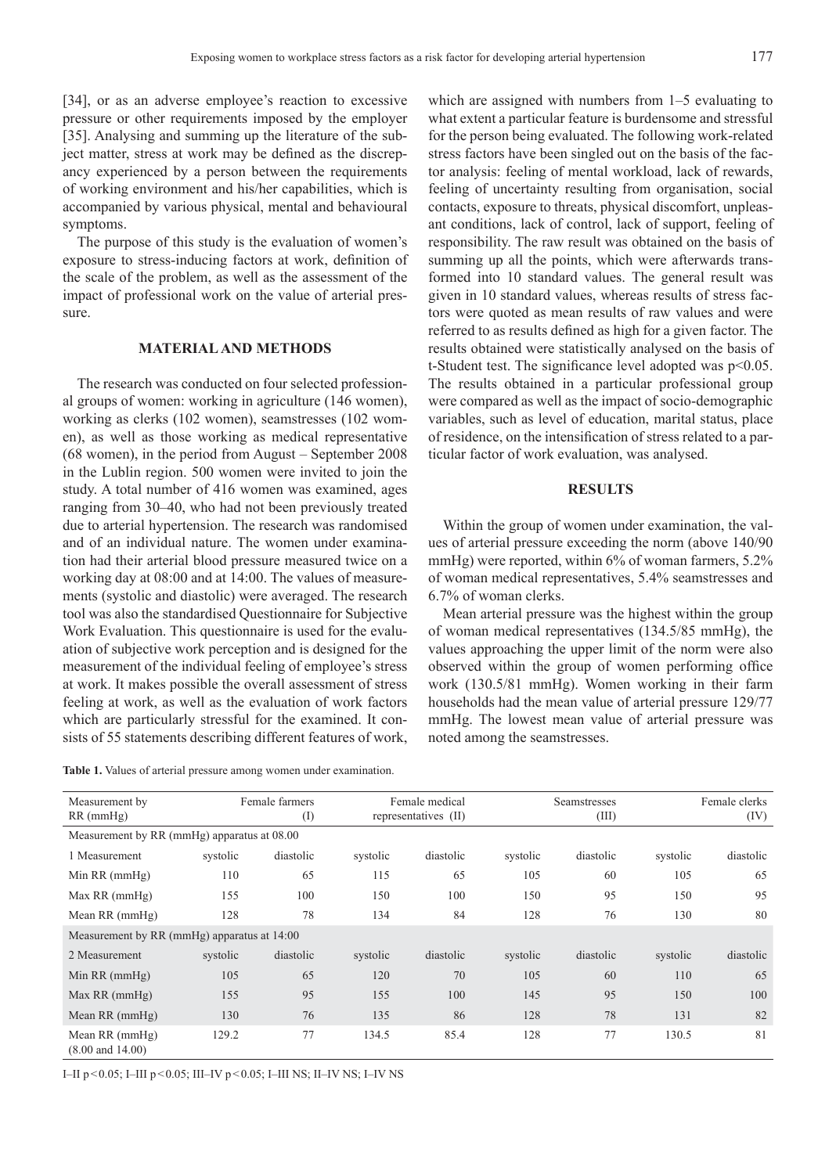[34], or as an adverse employee's reaction to excessive pressure or other requirements imposed by the employer [35]. Analysing and summing up the literature of the subject matter, stress at work may be defined as the discrepancy experienced by a person between the requirements of working environment and his/her capabilities, which is accompanied by various physical, mental and behavioural symptoms.

The purpose of this study is the evaluation of women's exposure to stress-inducing factors at work, definition of the scale of the problem, as well as the assessment of the impact of professional work on the value of arterial pressure.

### **MATERIAL AND METHODS**

The research was conducted on four selected professional groups of women: working in agriculture (146 women), working as clerks (102 women), seamstresses (102 women), as well as those working as medical representative (68 women), in the period from August – September 2008 in the Lublin region. 500 women were invited to join the study. A total number of 416 women was examined, ages ranging from 30–40, who had not been previously treated due to arterial hypertension. The research was randomised and of an individual nature. The women under examination had their arterial blood pressure measured twice on a working day at 08:00 and at 14:00. The values of measurements (systolic and diastolic) were averaged. The research tool was also the standardised Questionnaire for Subjective Work Evaluation. This questionnaire is used for the evaluation of subjective work perception and is designed for the measurement of the individual feeling of employee's stress at work. It makes possible the overall assessment of stress feeling at work, as well as the evaluation of work factors which are particularly stressful for the examined. It consists of 55 statements describing different features of work,

**Table 1.** Values of arterial pressure among women under examination.

which are assigned with numbers from 1–5 evaluating to what extent a particular feature is burdensome and stressful for the person being evaluated. The following work-related stress factors have been singled out on the basis of the factor analysis: feeling of mental workload, lack of rewards, feeling of uncertainty resulting from organisation, social contacts, exposure to threats, physical discomfort, unpleasant conditions, lack of control, lack of support, feeling of responsibility. The raw result was obtained on the basis of summing up all the points, which were afterwards transformed into 10 standard values. The general result was given in 10 standard values, whereas results of stress factors were quoted as mean results of raw values and were referred to as results defined as high for a given factor. The results obtained were statistically analysed on the basis of t-Student test. The significance level adopted was  $p<0.05$ . The results obtained in a particular professional group were compared as well as the impact of socio-demographic variables, such as level of education, marital status, place of residence, on the intensification of stress related to a particular factor of work evaluation, was analysed.

## **RESULTS**

Within the group of women under examination, the values of arterial pressure exceeding the norm (above 140/90 mmHg) were reported, within 6% of woman farmers, 5.2% of woman medical representatives, 5.4% seamstresses and 6.7% of woman clerks.

Mean arterial pressure was the highest within the group of woman medical representatives (134.5/85 mmHg), the values approaching the upper limit of the norm were also observed within the group of women performing office work (130.5/81 mmHg). Women working in their farm households had the mean value of arterial pressure 129/77 mmHg. The lowest mean value of arterial pressure was noted among the seamstresses.

| Measurement by<br>$RR$ (mmHg)                 | Female farmers<br>$\rm(I)$ |           | Female medical<br>representatives (II) |           | Seamstresses<br>(III) |           | Female clerks<br>(IV) |           |
|-----------------------------------------------|----------------------------|-----------|----------------------------------------|-----------|-----------------------|-----------|-----------------------|-----------|
| Measurement by RR (mmHg) apparatus at 08.00   |                            |           |                                        |           |                       |           |                       |           |
| 1 Measurement                                 | systolic                   | diastolic | systolic                               | diastolic | systolic              | diastolic | systolic              | diastolic |
| Min $RR$ (mm $Hg$ )                           | 110                        | 65        | 115                                    | 65        | 105                   | 60        | 105                   | 65        |
| $Max RR$ (mmHg)                               | 155                        | 100       | 150                                    | 100       | 150                   | 95        | 150                   | 95        |
| Mean $RR$ (mm $Hg$ )                          | 128                        | 78        | 134                                    | 84        | 128                   | 76        | 130                   | 80        |
| Measurement by RR (mmHg) apparatus at $14:00$ |                            |           |                                        |           |                       |           |                       |           |
| 2 Measurement                                 | systolic                   | diastolic | systolic                               | diastolic | systolic              | diastolic | systolic              | diastolic |
| Min $RR$ (mmHg)                               | 105                        | 65        | 120                                    | 70        | 105                   | 60        | 110                   | 65        |
| Max $RR$ (mmHg)                               | 155                        | 95        | 155                                    | 100       | 145                   | 95        | 150                   | 100       |
| Mean $RR$ (mmHg)                              | 130                        | 76        | 135                                    | 86        | 128                   | 78        | 131                   | 82        |
| Mean $RR$ (mm $Hg$ )<br>$(8.00$ and $14.00)$  | 129.2                      | 77        | 134.5                                  | 85.4      | 128                   | 77        | 130.5                 | 81        |

I–II p < 0.05; I–III p < 0.05; III–IV p < 0.05; I–III NS; II–IV NS; I–IV NS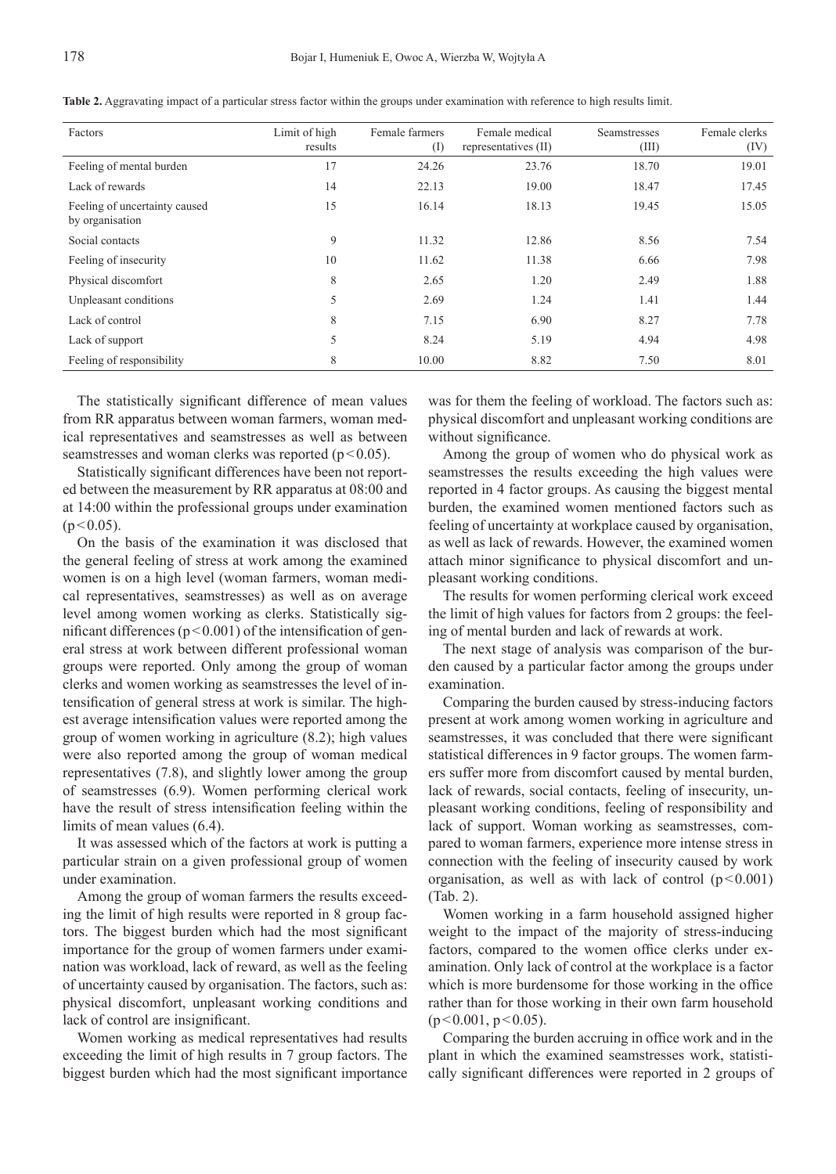| Factors                                          | Limit of high<br>results | Female farmers<br>$($ I | Female medical<br>representatives (II) | Seamstresses<br>(III) | Female clerks<br>(IV) |
|--------------------------------------------------|--------------------------|-------------------------|----------------------------------------|-----------------------|-----------------------|
| Feeling of mental burden                         | 17                       | 24.26                   | 23.76                                  | 18.70                 | 19.01                 |
| Lack of rewards                                  | 14                       | 22.13                   | 19.00                                  | 18.47                 | 17.45                 |
| Feeling of uncertainty caused<br>by organisation | 15                       | 16.14                   | 18.13                                  | 19.45                 | 15.05                 |
| Social contacts                                  | 9                        | 11.32                   | 12.86                                  | 8.56                  | 7.54                  |
| Feeling of insecurity                            | 10                       | 11.62                   | 11.38                                  | 6.66                  | 7.98                  |
| Physical discomfort                              | 8                        | 2.65                    | 1.20                                   | 2.49                  | 1.88                  |
| Unpleasant conditions                            | 5                        | 2.69                    | 1.24                                   | 1.41                  | 1.44                  |
| Lack of control                                  | 8                        | 7.15                    | 6.90                                   | 8.27                  | 7.78                  |
| Lack of support                                  | 5                        | 8.24                    | 5.19                                   | 4.94                  | 4.98                  |
| Feeling of responsibility                        | 8                        | 10.00                   | 8.82                                   | 7.50                  | 8.01                  |

**Table 2.** Aggravating impact of a particular stress factor within the groups under examination with reference to high results limit.

The statistically significant difference of mean values from RR apparatus between woman farmers, woman medical representatives and seamstresses as well as between seamstresses and woman clerks was reported  $(p<0.05)$ .

Statistically significant differences have been not reported between the measurement by RR apparatus at 08:00 and at 14:00 within the professional groups under examination  $(p < 0.05)$ .

On the basis of the examination it was disclosed that the general feeling of stress at work among the examined women is on a high level (woman farmers, woman medical representatives, seamstresses) as well as on average level among women working as clerks. Statistically significant differences ( $p < 0.001$ ) of the intensification of general stress at work between different professional woman groups were reported. Only among the group of woman clerks and women working as seamstresses the level of intensification of general stress at work is similar. The highest average intensification values were reported among the group of women working in agriculture (8.2); high values were also reported among the group of woman medical representatives (7.8), and slightly lower among the group of seamstresses (6.9). Women performing clerical work have the result of stress intensification feeling within the limits of mean values (6.4).

It was assessed which of the factors at work is putting a particular strain on a given professional group of women under examination.

Among the group of woman farmers the results exceeding the limit of high results were reported in 8 group factors. The biggest burden which had the most significant importance for the group of women farmers under examination was workload, lack of reward, as well as the feeling of uncertainty caused by organisation. The factors, such as: physical discomfort, unpleasant working conditions and lack of control are insignificant.

Women working as medical representatives had results exceeding the limit of high results in 7 group factors. The biggest burden which had the most significant importance

was for them the feeling of workload. The factors such as: physical discomfort and unpleasant working conditions are without significance.

Among the group of women who do physical work as seamstresses the results exceeding the high values were reported in 4 factor groups. As causing the biggest mental burden, the examined women mentioned factors such as feeling of uncertainty at workplace caused by organisation, as well as lack of rewards. However, the examined women attach minor significance to physical discomfort and unpleasant working conditions.

The results for women performing clerical work exceed the limit of high values for factors from 2 groups: the feeling of mental burden and lack of rewards at work.

The next stage of analysis was comparison of the burden caused by a particular factor among the groups under examination.

Comparing the burden caused by stress-inducing factors present at work among women working in agriculture and seamstresses, it was concluded that there were significant statistical differences in 9 factor groups. The women farmers suffer more from discomfort caused by mental burden, lack of rewards, social contacts, feeling of insecurity, unpleasant working conditions, feeling of responsibility and lack of support. Woman working as seamstresses, compared to woman farmers, experience more intense stress in connection with the feeling of insecurity caused by work organisation, as well as with lack of control  $(p<0.001)$ (Tab. 2).

Women working in a farm household assigned higher weight to the impact of the majority of stress-inducing factors, compared to the women office clerks under examination. Only lack of control at the workplace is a factor which is more burdensome for those working in the office rather than for those working in their own farm household  $(p < 0.001, p < 0.05)$ .

Comparing the burden accruing in office work and in the plant in which the examined seamstresses work, statistically significant differences were reported in 2 groups of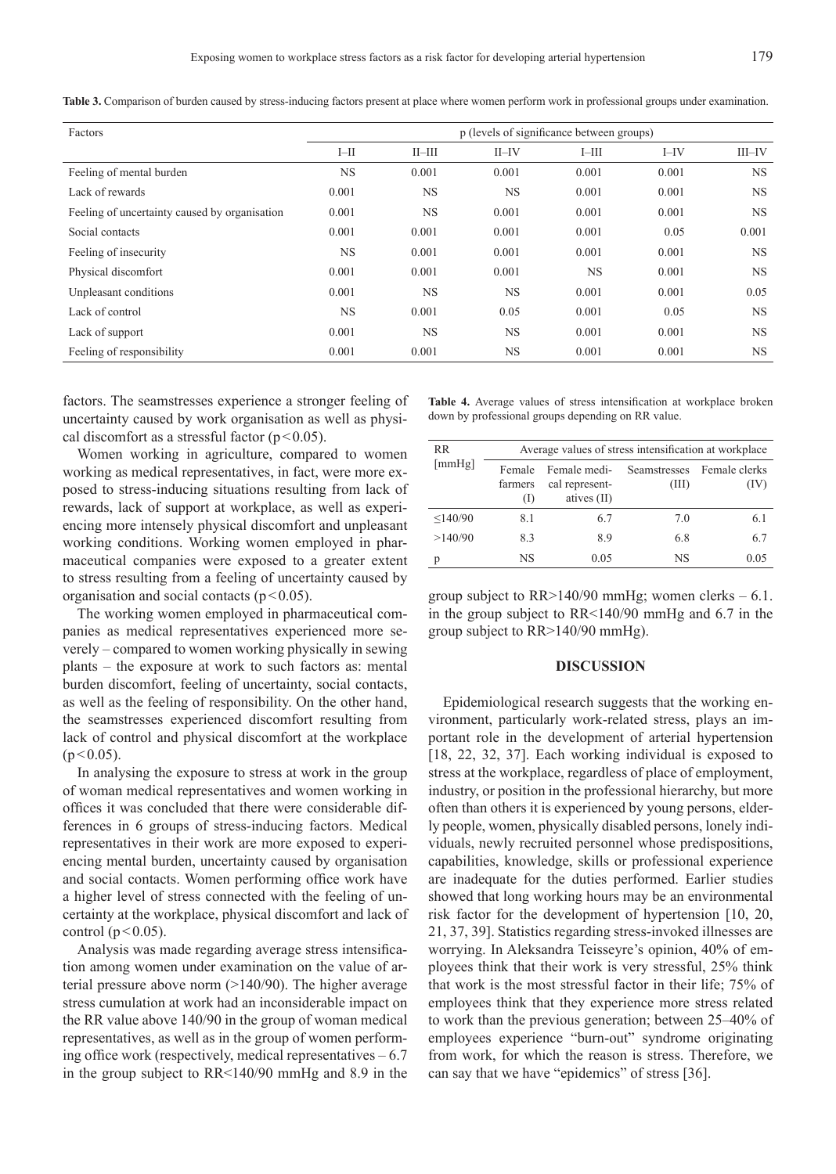| Factors                                       | p (levels of significance between groups) |           |           |           |         |           |
|-----------------------------------------------|-------------------------------------------|-----------|-----------|-----------|---------|-----------|
|                                               | $I-H$                                     | $II$ -III | $II$ -IV  | $I$ -III  | $I$ -IV | $III$ -IV |
| Feeling of mental burden                      | <b>NS</b>                                 | 0.001     | 0.001     | 0.001     | 0.001   | NS.       |
| Lack of rewards                               | 0.001                                     | <b>NS</b> | <b>NS</b> | 0.001     | 0.001   | <b>NS</b> |
| Feeling of uncertainty caused by organisation | 0.001                                     | <b>NS</b> | 0.001     | 0.001     | 0.001   | NS.       |
| Social contacts                               | 0.001                                     | 0.001     | 0.001     | 0.001     | 0.05    | 0.001     |
| Feeling of insecurity                         | <b>NS</b>                                 | 0.001     | 0.001     | 0.001     | 0.001   | NS.       |
| Physical discomfort                           | 0.001                                     | 0.001     | 0.001     | <b>NS</b> | 0.001   | NS.       |
| Unpleasant conditions                         | 0.001                                     | <b>NS</b> | NS.       | 0.001     | 0.001   | 0.05      |
| Lack of control                               | <b>NS</b>                                 | 0.001     | 0.05      | 0.001     | 0.05    | NS.       |
| Lack of support                               | 0.001                                     | <b>NS</b> | NS.       | 0.001     | 0.001   | NS.       |
| Feeling of responsibility                     | 0.001                                     | 0.001     | NS.       | 0.001     | 0.001   | NS.       |

**Table 3.** Comparison of burden caused by stress-inducing factors present at place where women perform work in professional groups under examination.

factors. The seamstresses experience a stronger feeling of uncertainty caused by work organisation as well as physical discomfort as a stressful factor  $(p<0.05)$ .

Women working in agriculture, compared to women working as medical representatives, in fact, were more exposed to stress-inducing situations resulting from lack of rewards, lack of support at workplace, as well as experiencing more intensely physical discomfort and unpleasant working conditions. Working women employed in pharmaceutical companies were exposed to a greater extent to stress resulting from a feeling of uncertainty caused by organisation and social contacts ( $p < 0.05$ ).

The working women employed in pharmaceutical companies as medical representatives experienced more severely – compared to women working physically in sewing plants – the exposure at work to such factors as: mental burden discomfort, feeling of uncertainty, social contacts, as well as the feeling of responsibility. On the other hand, the seamstresses experienced discomfort resulting from lack of control and physical discomfort at the workplace  $(p < 0.05)$ .

In analysing the exposure to stress at work in the group of woman medical representatives and women working in offices it was concluded that there were considerable differences in 6 groups of stress-inducing factors. Medical representatives in their work are more exposed to experiencing mental burden, uncertainty caused by organisation and social contacts. Women performing office work have a higher level of stress connected with the feeling of uncertainty at the workplace, physical discomfort and lack of control ( $p < 0.05$ ).

Analysis was made regarding average stress intensification among women under examination on the value of arterial pressure above norm (>140/90). The higher average stress cumulation at work had an inconsiderable impact on the RR value above 140/90 in the group of woman medical representatives, as well as in the group of women performing office work (respectively, medical representatives  $-6.7$ in the group subject to RR<140/90 mmHg and 8.9 in the

Table 4. Average values of stress intensification at workplace broken down by professional groups depending on RR value.

| <b>RR</b><br>[mmHg] | Average values of stress intensification at workplace |                                                 |       |                                    |  |  |  |  |
|---------------------|-------------------------------------------------------|-------------------------------------------------|-------|------------------------------------|--|--|--|--|
|                     | Female<br>farmers<br>(1)                              | Female medi-<br>cal represent-<br>atives $(II)$ | (III) | Seamstresses Female clerks<br>(IV) |  |  |  |  |
| $\leq$ 140/90       | 8.1                                                   | 6.7                                             | 7.0   | 6.1                                |  |  |  |  |
| >140/90             | 8.3                                                   | 8.9                                             | 6.8   | 6.7                                |  |  |  |  |
|                     | NS                                                    | 0.05                                            | NS    | 0.05                               |  |  |  |  |

group subject to  $RR > 140/90$  mmHg; women clerks  $-6.1$ . in the group subject to RR<140/90 mmHg and 6.7 in the group subject to RR>140/90 mmHg).

#### **DISCUSSION**

Epidemiological research suggests that the working environment, particularly work-related stress, plays an important role in the development of arterial hypertension [18, 22, 32, 37]. Each working individual is exposed to stress at the workplace, regardless of place of employment, industry, or position in the professional hierarchy, but more often than others it is experienced by young persons, elderly people, women, physically disabled persons, lonely individuals, newly recruited personnel whose predispositions, capabilities, knowledge, skills or professional experience are inadequate for the duties performed. Earlier studies showed that long working hours may be an environmental risk factor for the development of hypertension [10, 20, 21, 37, 39]. Statistics regarding stress-invoked illnesses are worrying. In Aleksandra Teisseyre's opinion, 40% of employees think that their work is very stressful, 25% think that work is the most stressful factor in their life; 75% of employees think that they experience more stress related to work than the previous generation; between 25–40% of employees experience "burn-out" syndrome originating from work, for which the reason is stress. Therefore, we can say that we have "epidemics" of stress [36].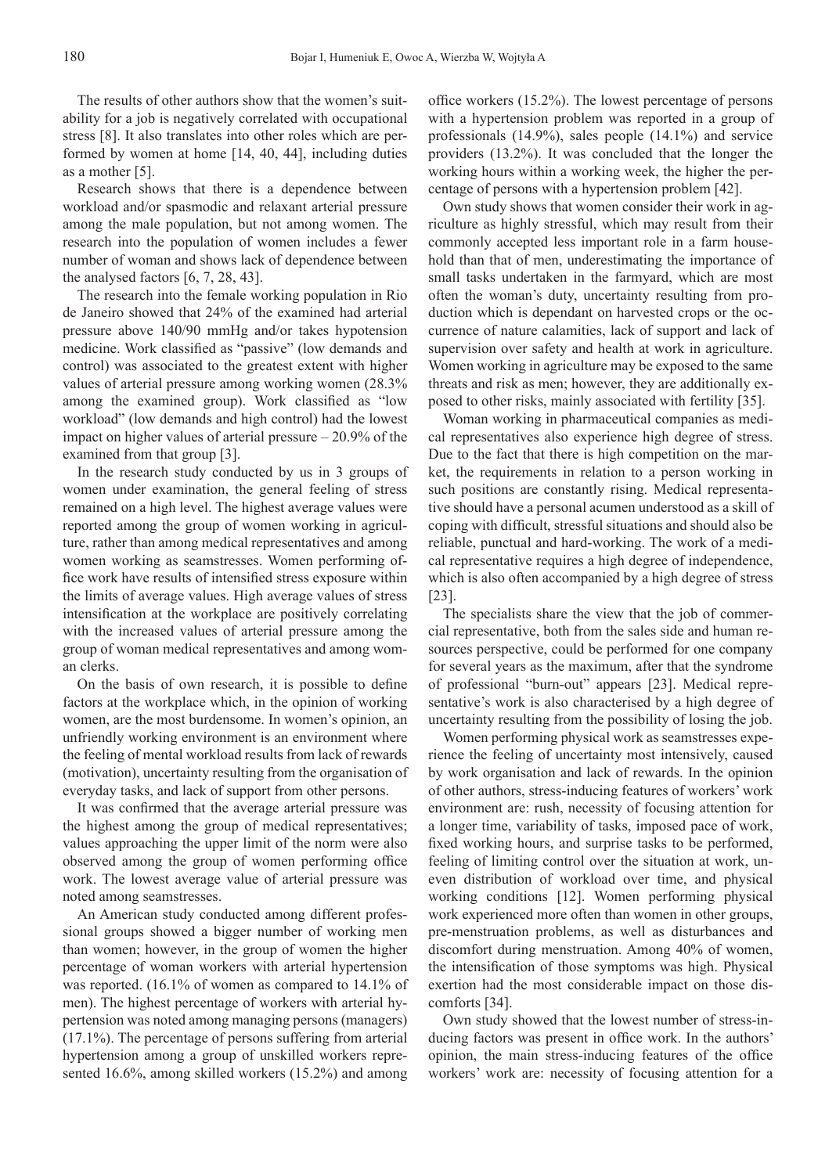The results of other authors show that the women's suitability for a job is negatively correlated with occupational stress [8]. It also translates into other roles which are performed by women at home [14, 40, 44], including duties as a mother [5].

Research shows that there is a dependence between workload and/or spasmodic and relaxant arterial pressure among the male population, but not among women. The research into the population of women includes a fewer number of woman and shows lack of dependence between the analysed factors [6, 7, 28, 43].

The research into the female working population in Rio de Janeiro showed that 24% of the examined had arterial pressure above 140/90 mmHg and/or takes hypotension medicine. Work classified as "passive" (low demands and control) was associated to the greatest extent with higher values of arterial pressure among working women (28.3% among the examined group). Work classified as "low workload" (low demands and high control) had the lowest impact on higher values of arterial pressure – 20.9% of the examined from that group [3].

In the research study conducted by us in 3 groups of women under examination, the general feeling of stress remained on a high level. The highest average values were reported among the group of women working in agriculture, rather than among medical representatives and among women working as seamstresses. Women performing office work have results of intensified stress exposure within the limits of average values. High average values of stress intensification at the workplace are positively correlating with the increased values of arterial pressure among the group of woman medical representatives and among woman clerks.

On the basis of own research, it is possible to define factors at the workplace which, in the opinion of working women, are the most burdensome. In women's opinion, an unfriendly working environment is an environment where the feeling of mental workload results from lack of rewards (motivation), uncertainty resulting from the organisation of everyday tasks, and lack of support from other persons.

It was confirmed that the average arterial pressure was the highest among the group of medical representatives; values approaching the upper limit of the norm were also observed among the group of women performing office work. The lowest average value of arterial pressure was noted among seamstresses.

An American study conducted among different professional groups showed a bigger number of working men than women; however, in the group of women the higher percentage of woman workers with arterial hypertension was reported. (16.1% of women as compared to 14.1% of men). The highest percentage of workers with arterial hypertension was noted among managing persons (managers) (17.1%). The percentage of persons suffering from arterial hypertension among a group of unskilled workers represented 16.6%, among skilled workers (15.2%) and among

office workers  $(15.2\%)$ . The lowest percentage of persons with a hypertension problem was reported in a group of professionals (14.9%), sales people (14.1%) and service providers (13.2%). It was concluded that the longer the working hours within a working week, the higher the percentage of persons with a hypertension problem [42].

Own study shows that women consider their work in agriculture as highly stressful, which may result from their commonly accepted less important role in a farm household than that of men, underestimating the importance of small tasks undertaken in the farmyard, which are most often the woman's duty, uncertainty resulting from production which is dependant on harvested crops or the occurrence of nature calamities, lack of support and lack of supervision over safety and health at work in agriculture. Women working in agriculture may be exposed to the same threats and risk as men; however, they are additionally exposed to other risks, mainly associated with fertility [35].

Woman working in pharmaceutical companies as medical representatives also experience high degree of stress. Due to the fact that there is high competition on the market, the requirements in relation to a person working in such positions are constantly rising. Medical representative should have a personal acumen understood as a skill of coping with difficult, stressful situations and should also be reliable, punctual and hard-working. The work of a medical representative requires a high degree of independence, which is also often accompanied by a high degree of stress [23].

The specialists share the view that the job of commercial representative, both from the sales side and human resources perspective, could be performed for one company for several years as the maximum, after that the syndrome of professional "burn-out" appears [23]. Medical representative's work is also characterised by a high degree of uncertainty resulting from the possibility of losing the job.

Women performing physical work as seamstresses experience the feeling of uncertainty most intensively, caused by work organisation and lack of rewards. In the opinion of other authors, stress-inducing features of workers' work environment are: rush, necessity of focusing attention for a longer time, variability of tasks, imposed pace of work, fixed working hours, and surprise tasks to be performed, feeling of limiting control over the situation at work, uneven distribution of workload over time, and physical working conditions [12]. Women performing physical work experienced more often than women in other groups, pre-menstruation problems, as well as disturbances and discomfort during menstruation. Among 40% of women, the intensification of those symptoms was high. Physical exertion had the most considerable impact on those discomforts [34].

Own study showed that the lowest number of stress-inducing factors was present in office work. In the authors' opinion, the main stress-inducing features of the office workers' work are: necessity of focusing attention for a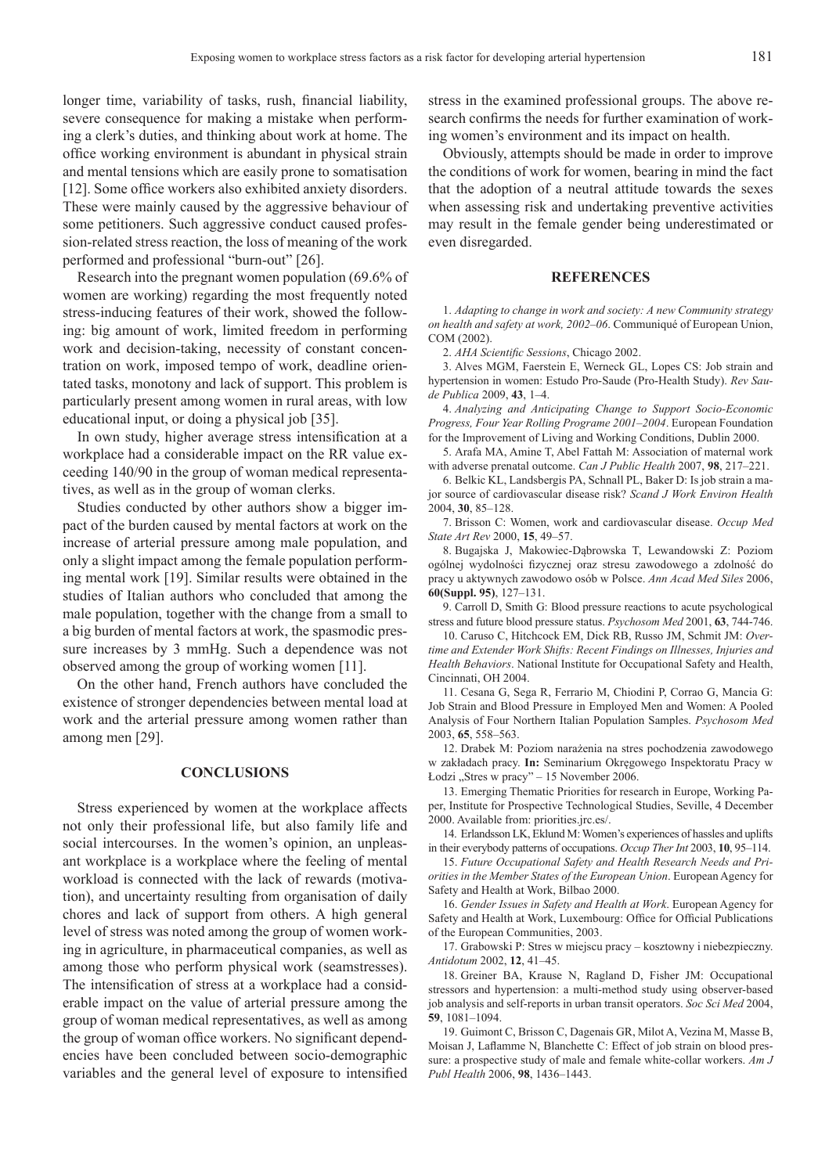longer time, variability of tasks, rush, financial liability, severe consequence for making a mistake when performing a clerk's duties, and thinking about work at home. The office working environment is abundant in physical strain and mental tensions which are easily prone to somatisation [12]. Some office workers also exhibited anxiety disorders. These were mainly caused by the aggressive behaviour of some petitioners. Such aggressive conduct caused profession-related stress reaction, the loss of meaning of the work performed and professional "burn-out" [26].

Research into the pregnant women population (69.6% of women are working) regarding the most frequently noted stress-inducing features of their work, showed the following: big amount of work, limited freedom in performing work and decision-taking, necessity of constant concentration on work, imposed tempo of work, deadline orientated tasks, monotony and lack of support. This problem is particularly present among women in rural areas, with low educational input, or doing a physical job [35].

In own study, higher average stress intensification at a workplace had a considerable impact on the RR value exceeding 140/90 in the group of woman medical representatives, as well as in the group of woman clerks.

Studies conducted by other authors show a bigger impact of the burden caused by mental factors at work on the increase of arterial pressure among male population, and only a slight impact among the female population performing mental work [19]. Similar results were obtained in the studies of Italian authors who concluded that among the male population, together with the change from a small to a big burden of mental factors at work, the spasmodic pressure increases by 3 mmHg. Such a dependence was not observed among the group of working women [11].

On the other hand, French authors have concluded the existence of stronger dependencies between mental load at work and the arterial pressure among women rather than among men [29].

## **CONCLUSIONS**

Stress experienced by women at the workplace affects not only their professional life, but also family life and social intercourses. In the women's opinion, an unpleasant workplace is a workplace where the feeling of mental workload is connected with the lack of rewards (motivation), and uncertainty resulting from organisation of daily chores and lack of support from others. A high general level of stress was noted among the group of women working in agriculture, in pharmaceutical companies, as well as among those who perform physical work (seamstresses). The intensification of stress at a workplace had a considerable impact on the value of arterial pressure among the group of woman medical representatives, as well as among the group of woman office workers. No significant dependencies have been concluded between socio-demographic variables and the general level of exposure to intensified stress in the examined professional groups. The above research confirms the needs for further examination of working women's environment and its impact on health.

Obviously, attempts should be made in order to improve the conditions of work for women, bearing in mind the fact that the adoption of a neutral attitude towards the sexes when assessing risk and undertaking preventive activities may result in the female gender being underestimated or even disregarded.

#### **REFERENCES**

1. *Adapting to change in work and society: A new Community strategy on health and safety at work, 2002–06*. Communiqué of European Union, COM (2002).

2. *AHA Scientifi c Sessions*, Chicago 2002.

3. Alves MGM, Faerstein E, Werneck GL, Lopes CS: Job strain and hypertension in women: Estudo Pro-Saude (Pro-Health Study). *Rev Saude Publica* 2009, **43**, 1–4.

4. *Analyzing and Anticipating Change to Support Socio-Economic Progress, Four Year Rolling Programe 2001–2004*. European Foundation for the Improvement of Living and Working Conditions, Dublin 2000.

5. Arafa MA, Amine T, Abel Fattah M: Association of maternal work with adverse prenatal outcome. *Can J Public Health* 2007, **98**, 217–221.

6. Belkic KL, Landsbergis PA, Schnall PL, Baker D: Is job strain a major source of cardiovascular disease risk? *Scand J Work Environ Health*  2004, **30**, 85–128.

7. Brisson C: Women, work and cardiovascular disease. *Occup Med State Art Rev* 2000, **15**, 49–57.

8. Bugajska J, Makowiec-Dąbrowska T, Lewandowski Z: Poziom ogólnej wydolności fizycznej oraz stresu zawodowego a zdolność do pracy u aktywnych zawodowo osób w Polsce. *Ann Acad Med Siles* 2006, **60(Suppl. 95)**, 127–131.

9. Carroll D, Smith G: Blood pressure reactions to acute psychological stress and future blood pressure status. *Psychosom Med* 2001, **63**, 744-746.

10. Caruso C, Hitchcock EM, Dick RB, Russo JM, Schmit JM: *Overtime and Extender Work Shifts: Recent Findings on Illnesses, Injuries and Health Behaviors*. National Institute for Occupational Safety and Health, Cincinnati, OH 2004.

11. Cesana G, Sega R, Ferrario M, Chiodini P, Corrao G, Mancia G: Job Strain and Blood Pressure in Employed Men and Women: A Pooled Analysis of Four Northern Italian Population Samples. *Psychosom Med*  2003, **65**, 558–563.

12. Drabek M: Poziom narażenia na stres pochodzenia zawodowego w zakładach pracy. **In:** Seminarium Okręgowego Inspektoratu Pracy w Łodzi "Stres w pracy" – 15 November 2006.

13. Emerging Thematic Priorities for research in Europe, Working Paper, Institute for Prospective Technological Studies, Seville, 4 December 2000. Available from: priorities.jrc.es/.

14. Erlandsson LK, Eklund M: Women's experiences of hassles and uplifts in their everybody patterns of occupations. *Occup Ther Int* 2003, **10**, 95–114.

15. *Future Occupational Safety and Health Research Needs and Priorities in the Member States of the European Union*. European Agency for Safety and Health at Work, Bilbao 2000.

16. *Gender Issues in Safety and Health at Work*. European Agency for Safety and Health at Work, Luxembourg: Office for Official Publications of the European Communities, 2003.

17. Grabowski P: Stres w miejscu pracy – kosztowny i niebezpieczny. *Antidotum* 2002, **12**, 41–45.

18. Greiner BA, Krause N, Ragland D, Fisher JM: Occupational stressors and hypertension: a multi-method study using observer-based job analysis and self-reports in urban transit operators. *Soc Sci Med* 2004, **59**, 1081–1094.

19. Guimont C, Brisson C, Dagenais GR, Milot A, Vezina M, Masse B, Moisan J, Laflamme N, Blanchette C: Effect of job strain on blood pressure: a prospective study of male and female white-collar workers. *Am J Publ Health* 2006, **98**, 1436–1443.